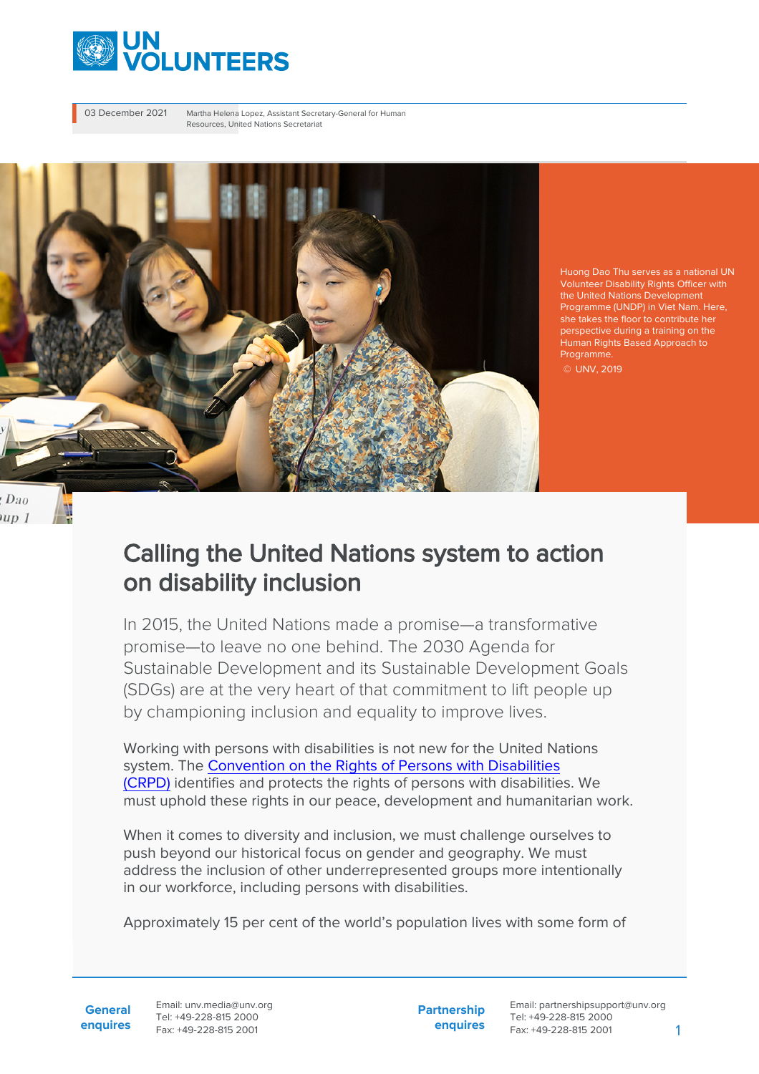

03 December 2021 Martha Helena Lopez, Assistant Secretary-General for Human Resources, United Nations Secretariat



Huong Dao Thu serves as a national UN Volunteer Disability Rights Officer with the United Nations Development Programme (UNDP) in Viet Nam. Here, she takes the floor to contribute her perspective during a training on the Human Rights Based Approach to Programme.

© UNV, 2019

#### Dao  $up1$

U

# Calling the United Nations system to action on disability inclusion

In 2015, the United Nations made a promise—a transformative promise—to leave no one behind. The 2030 Agenda for Sustainable Development and its Sustainable Development Goals (SDGs) are at the very heart of that commitment to lift people up by championing inclusion and equality to improve lives.

Working with persons with disabilities is not new for the United Nations system. The [Convention on the Rights of Persons with Disabilities](https://www.un.org/development/desa/disabilities/convention-on-the-rights-of-persons-with-disabilities.html) [\(CRPD\)](https://www.un.org/development/desa/disabilities/convention-on-the-rights-of-persons-with-disabilities.html) identifies and protects the rights of persons with disabilities. We must uphold these rights in our peace, development and humanitarian work.

When it comes to diversity and inclusion, we must challenge ourselves to push beyond our historical focus on gender and geography. We must address the inclusion of other underrepresented groups more intentionally in our workforce, including persons with disabilities.

Approximately 15 per cent of the world's population lives with some form of

**General enquires** Email: unv.media@unv.org Tel: +49-228-815 2000 Fax: +49-228-815 2001

**Partnership enquires**

Email: partnershipsupport@unv.org Tel: +49-228-815 2000 Fax: +49-228-815 2001 1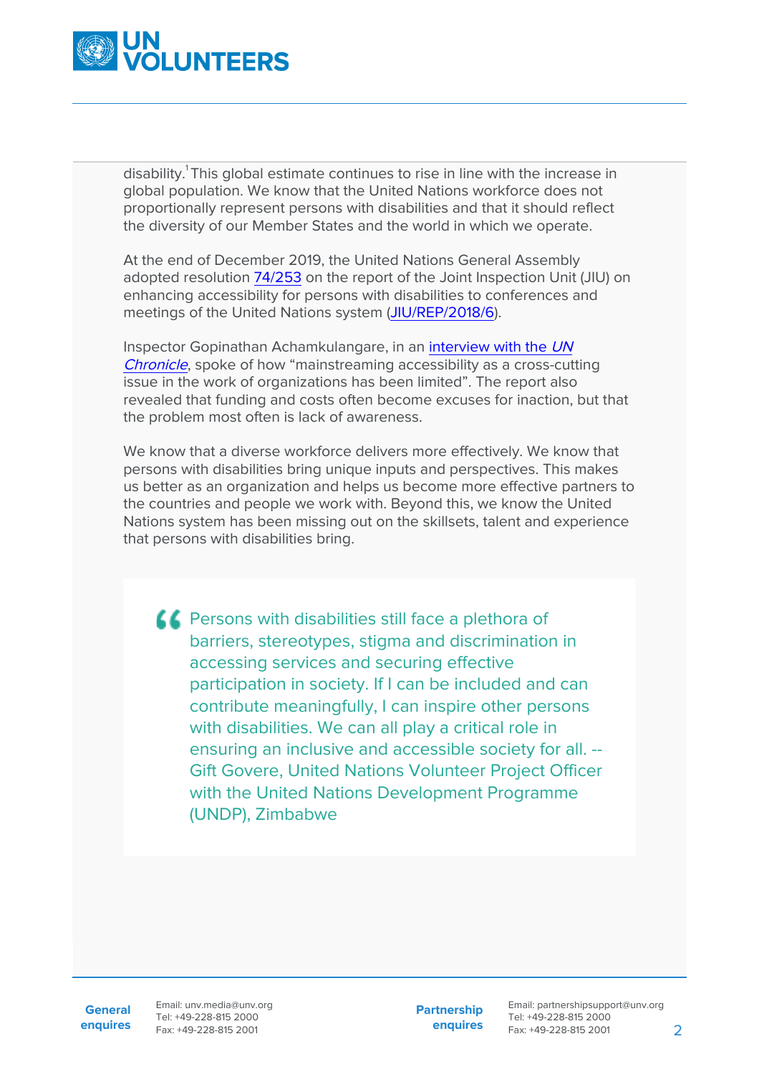

disability.<sup>1</sup>This global estimate continues to rise in line with the increase in global population. We know that the United Nations workforce does not proportionally represent persons with disabilities and that it should reflect the diversity of our Member States and the world in which we operate.

At the end of December 2019, the United Nations General Assembly adopted resolution [74/253](https://undocs.org/en/A/RES/74/253) on the report of the Joint Inspection Unit (JIU) on enhancing accessibility for persons with disabilities to conferences and meetings of the United Nations system ([JIU/REP/2018/6\)](https://undocs.org/en/JIU/REP/2018/6).

Inspector Gopinathan Achamkulangare, in an [interview with the](https://www.un.org/en/un-chronicle/leaving-no-one-behind-chronicle-conversation-gopinathan-achamkulangare-jiu-inspector) [UN](https://www.un.org/en/un-chronicle/leaving-no-one-behind-chronicle-conversation-gopinathan-achamkulangare-jiu-inspector) [Chronicle](https://www.un.org/en/un-chronicle/leaving-no-one-behind-chronicle-conversation-gopinathan-achamkulangare-jiu-inspector), spoke of how "mainstreaming accessibility as a cross-cutting issue in the work of organizations has been limited". The report also revealed that funding and costs often become excuses for inaction, but that the problem most often is lack of awareness.

We know that a diverse workforce delivers more effectively. We know that persons with disabilities bring unique inputs and perspectives. This makes us better as an organization and helps us become more effective partners to the countries and people we work with. Beyond this, we know the United Nations system has been missing out on the skillsets, talent and experience that persons with disabilities bring.

**C** Persons with disabilities still face a plethora of barriers, stereotypes, stigma and discrimination in accessing services and securing effective participation in society. If I can be included and can contribute meaningfully, I can inspire other persons with disabilities. We can all play a critical role in ensuring an inclusive and accessible society for all. -- Gift Govere, United Nations Volunteer Project Officer with the United Nations Development Programme (UNDP), Zimbabwe

**General**

**enquires** Fax: +49-228-815 2001 Email: unv.media@unv.org Tel: +49-228-815 2000

**Partnership enquires**

Email: partnershipsupport@unv.org Tel: +49-228-815 2000 Fax: +49-228-815 2001 2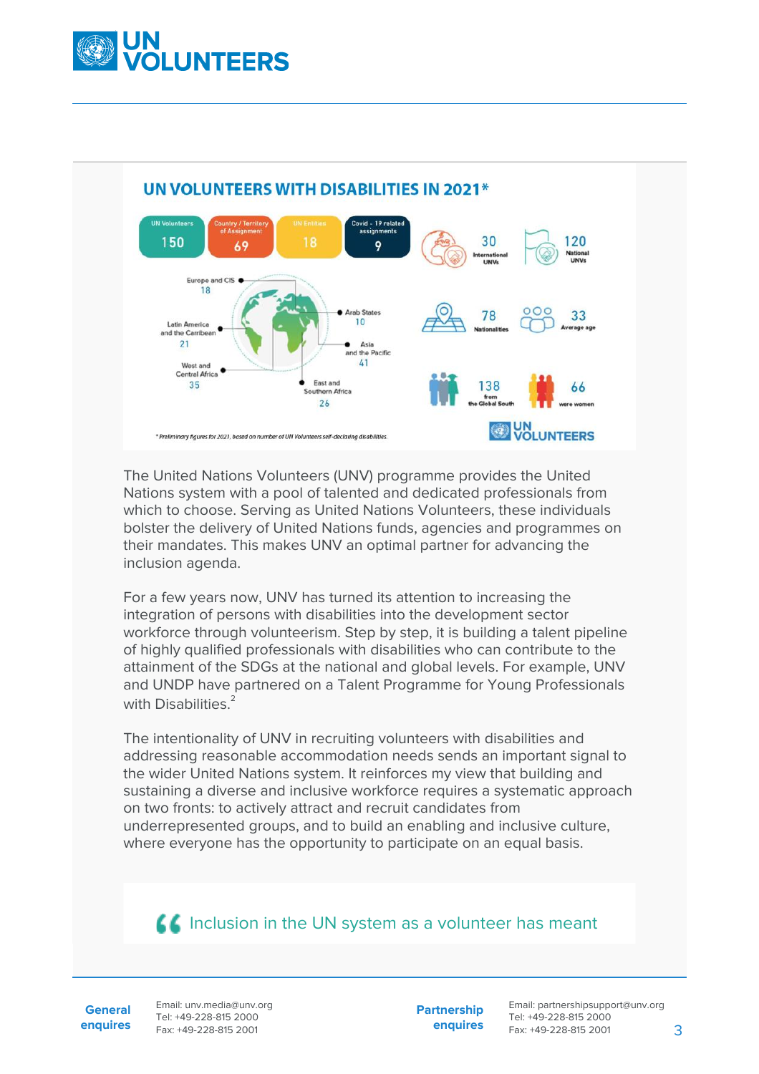



The United Nations Volunteers (UNV) programme provides the United Nations system with a pool of talented and dedicated professionals from which to choose. Serving as United Nations Volunteers, these individuals bolster the delivery of United Nations funds, agencies and programmes on their mandates. This makes UNV an optimal partner for advancing the inclusion agenda.

For a few years now, UNV has turned its attention to increasing the integration of persons with disabilities into the development sector workforce through volunteerism. Step by step, it is building a talent pipeline of highly qualified professionals with disabilities who can contribute to the attainment of the SDGs at the national and global levels. For example, UNV and UNDP have partnered on a Talent Programme for Young Professionals with Disabilities.<sup>2</sup>

The intentionality of UNV in recruiting volunteers with disabilities and addressing reasonable accommodation needs sends an important signal to the wider United Nations system. It reinforces my view that building and sustaining a diverse and inclusive workforce requires a systematic approach on two fronts: to actively attract and recruit candidates from underrepresented groups, and to build an enabling and inclusive culture, where everyone has the opportunity to participate on an equal basis.

### **Inclusion in the UN system as a volunteer has meant**

**General enquires** Email: unv.media@unv.org Tel: +49-228-815 2000 Fax: +49-228-815 2001

**Partnership enquires** Email: partnershipsupport@unv.org Tel: +49-228-815 2000 Fax: +49-228-815 2001 3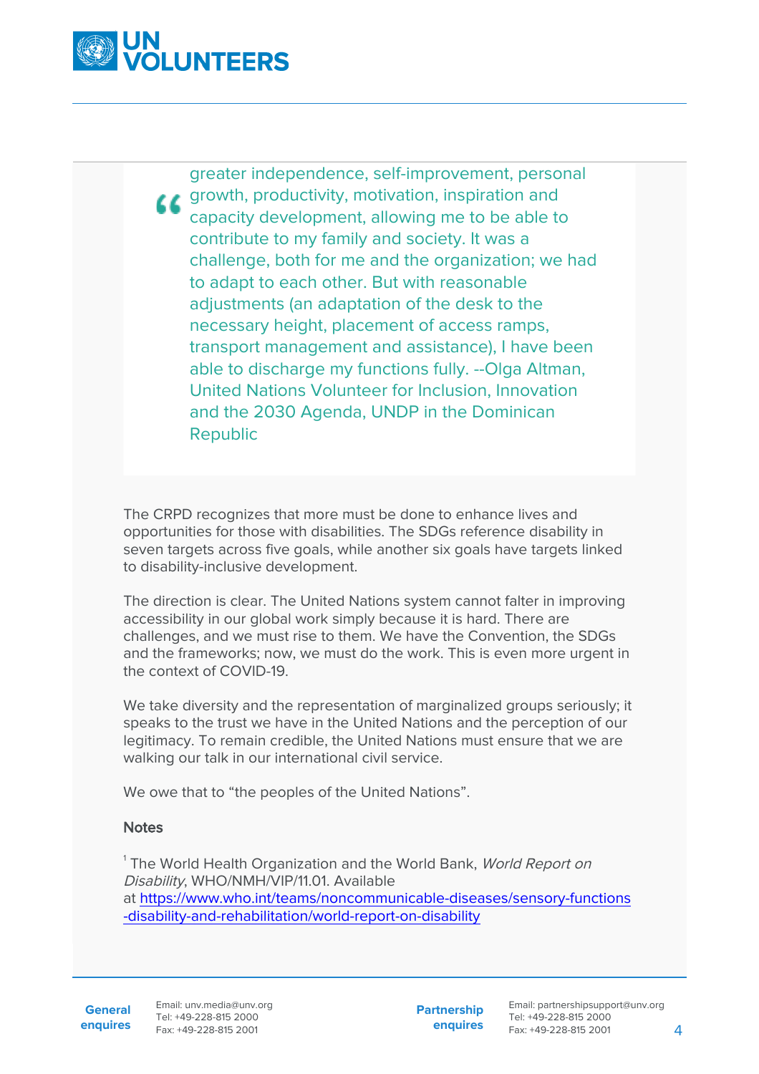

greater independence, self-improvement, personal **CC** growth, productivity, motivation, inspiration and capacity development, allowing me to be able to contribute to my family and society. It was a challenge, both for me and the organization; we had to adapt to each other. But with reasonable adjustments (an adaptation of the desk to the necessary height, placement of access ramps, transport management and assistance), I have been able to discharge my functions fully. --Olga Altman, United Nations Volunteer for Inclusion, Innovation and the 2030 Agenda, UNDP in the Dominican Republic

The CRPD recognizes that more must be done to enhance lives and opportunities for those with disabilities. The SDGs reference disability in seven targets across five goals, while another six goals have targets linked to disability-inclusive development.

The direction is clear. The United Nations system cannot falter in improving accessibility in our global work simply because it is hard. There are challenges, and we must rise to them. We have the Convention, the SDGs and the frameworks; now, we must do the work. This is even more urgent in the context of COVID-19.

We take diversity and the representation of marginalized groups seriously; it speaks to the trust we have in the United Nations and the perception of our legitimacy. To remain credible, the United Nations must ensure that we are walking our talk in our international civil service.

We owe that to "the peoples of the United Nations".

#### **Notes**

 $^{\rm 1}$ The World Health Organization and the World Bank, *World Report on* Disability, WHO/NMH/VIP/11.01. Available at [https://www.who.int/teams/noncommunicable-diseases/sensory-functions](#page--1-0) [-disability-and-rehabilitation/world-report-on-disability](#page--1-0)

**General**

**Partnership enquires**